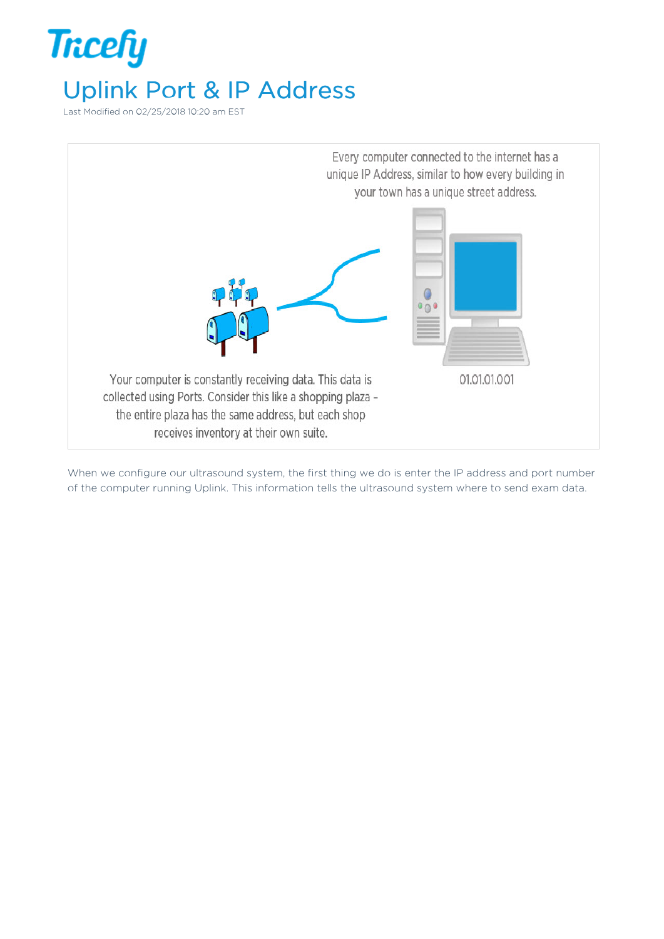

Last Modified on 02/25/2018 10:20 am EST



When we configure our ultrasound system, the first thing we do is enter the IP address and port number of the computer running Uplink. This information tells the ultrasound system where to send exam data.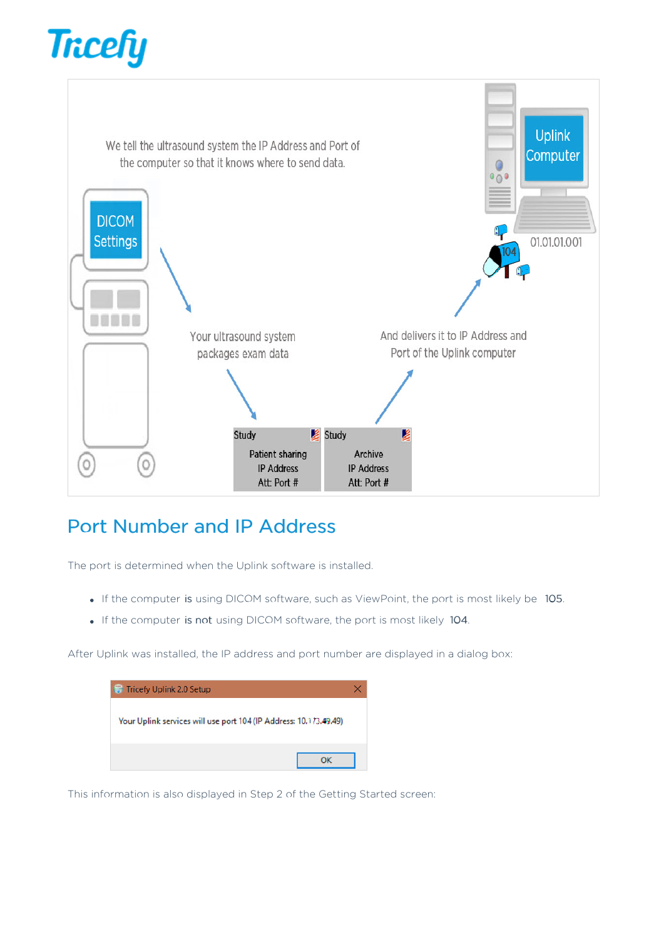



## Port Number and IP Address

The port is determined when the Uplink software is installed.

- If the computer is using DICOM software, such as ViewPoint, the port is most likely be 105.
- If the computer is not using DICOM software, the port is most likely 104.

After Uplink was installed, the IP address and port number are displayed in a dialog box:

| <b>Tricefy Uplink 2.0 Setup</b>                                   |  |
|-------------------------------------------------------------------|--|
| Your Uplink services will use port 104 (IP Address: 10.173.49.49) |  |
|                                                                   |  |
|                                                                   |  |

This information is also displayed in Step 2 of the Getting Started screen: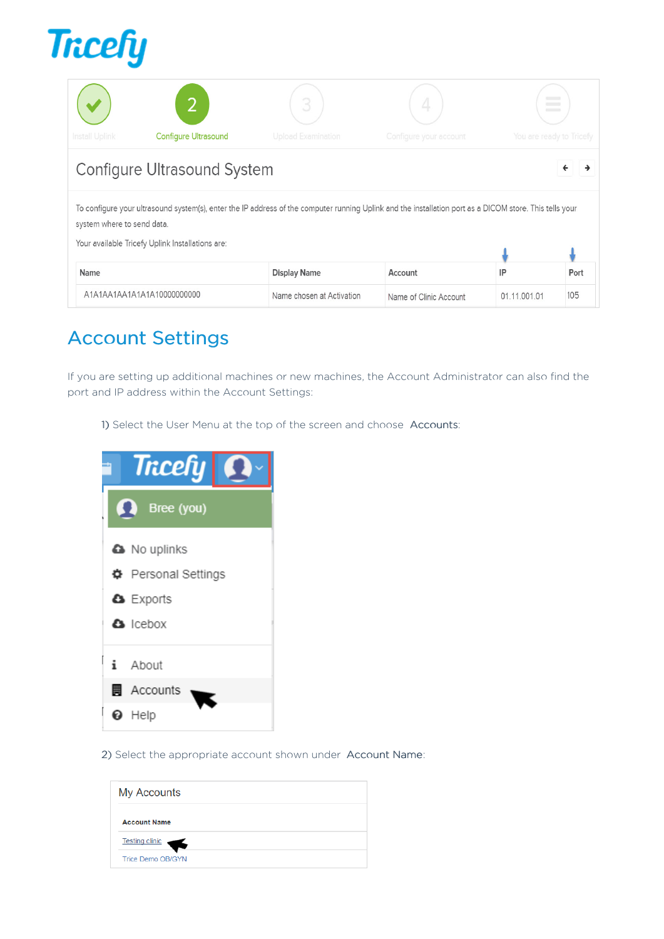

|                |                                    |                           |                        | $\frac{1}{2}$<br>$\frac{1}{2}$<br>$\frac{1}{2}$ |
|----------------|------------------------------------|---------------------------|------------------------|-------------------------------------------------|
| Install Uplink | <b>Configure Ultrasound</b>        | <b>Upload Examination</b> | Configure your account | You are ready to Tricef                         |
|                | <b>Configure Ultrasound System</b> |                           |                        |                                                 |

## Configure Oltrasound System

To configure your ultrasound system(s), enter the IP address of the computer running Uplink and the installation port as a DICOM store. This tells your system where to send data.

Your available Tricefy Uplink Installations are:

| <b>Name</b>                | <b>Display Name</b>       | Account                |              | Port |
|----------------------------|---------------------------|------------------------|--------------|------|
| A1A1AA1AA1A1A1A10000000000 | Name chosen at Activation | Name of Clinic Account | 01.11.001.01 | 105  |

 $\mathbf{L}$ 

 $\mathbf{L}$ 

## Account Settings

If you are setting up additional machines or new machines, the Account Administrator can also find the port and IP address within the Account Settings:

1) Select the User Menu at the top of the screen and choose Accounts:



2) Select the appropriate account shown under Account Name:

| <b>My Accounts</b>       |  |  |
|--------------------------|--|--|
| <b>Account Name</b>      |  |  |
| <b>Testing clinic</b>    |  |  |
| <b>Trice Demo OB/GYN</b> |  |  |